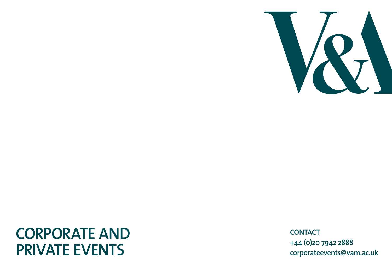

# **Corporate and Private Events**

**CONTA C T +44 (0)20 7942 2888 corporateevents@vam.ac.uk**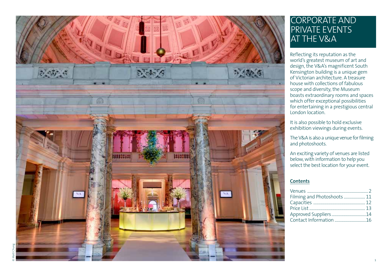

## CORPORATE AND<br>PRIVATE EVENTS AT THE V&A

Reflecting its reputation as the world's greatest museum of art and design, the V & A's magnificent South Kensington building is a unique gem of Victorian architecture. A treasure house with collections of fabulous scope and diversity, the Museum boasts extraordinary rooms and spaces which offer exceptional possibilities for entertaining in a prestigious central London location.

It is also possible to hold exclusive exhibition viewings during events.

The V&A is also a unique venue for filming and photoshoots.

An exciting variety of venues are listed below, with information to help you select the best location for your event.

#### **Contents**

| Filming and Photoshoots  11 |  |
|-----------------------------|--|
|                             |  |
|                             |  |
| Approved Suppliers14        |  |
| Contact Information 16      |  |
|                             |  |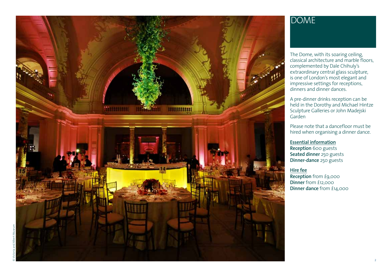

## DOME

The Dome, with its soaring ceiling, classical architecture and marble floors, complemented by Dale Chihuly's extraordinary central glass sculpture, is one of London's most elegant and impressive settings for receptions,<br>dinners and dinner dances.

A pre-dinner drinks reception can be held in the Dorothy and Michael Hintze Sculpture Galleries or John Madejski Garden<br>Please note that a dancefloor must be

hired when organising a dinner dance.

#### **Essential information**

**Reception** 600 guests **Seated dinner** 250 guests **Dinner-dance** 250 guests

**Hire fee**

**Reception** from £9,000 **Dinner** from £12,000 **Dinner dance** from £14,000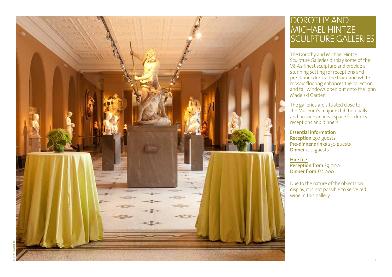

## DOROTHY AND Mi chae l Hintze Sc u lpture Galleries

The Dorothy and Michael Hintze Sculpture Galleries display some of the V&A's finest sculpture and provide a stunning setting for receptions and pre-dinner drinks. The black and white mosaic flooring enhances the collection and tall windows open out onto the John Madejski Garden.

The galleries are situated close to the Museum's major exhibition halls and provide an ideal space for drinks receptions and dinners.

#### **Essential information**

**Reception** 250 guests **Pre-dinner drinks** 250 guests **Dinner** 100 guests

**Hire fee Reception from** £9,000 **Dinner from** £12,000

Due to the nature of the objects on display, it is not possible to serve red wine in this gallery.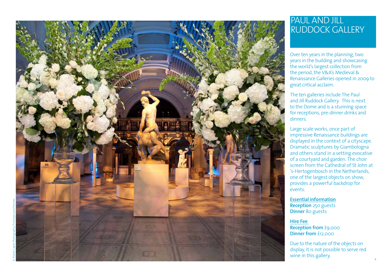

## PAUL AND J ILL RUDDOCK GALLER

Over ten years in the planning, two years in the building and showcasing the world's largest collection from the period, the V & A's Medieval & Renaissance Galleries opened in 2009 to

great critical acclaim.<br>The ten galleries include The Paul and Jill Ruddock Gallery. This is next to the Dome and is a stunning space for receptions, pre-dinner drinks and dinners.

Large scale works, once part of impressive Renaissance buildings are displayed in the context of a cityscape. Dramatic sculptures by Giambologna and others stand in a setting evocative of a courtyard and garden. The choir screen from the Cathedral of St John at 's-Hertogenbosch in the Netherlands, one of the largest objects on show, provides a powerful backdrop for events.

**Essential information Reception** 250 guests **Dinner** 80 guests

**Hire Fee Reception from** £9,000 **Dinner from** £12,000

Due to the nature of the objects on display, it is not possible to serve red wine in this gallery.

4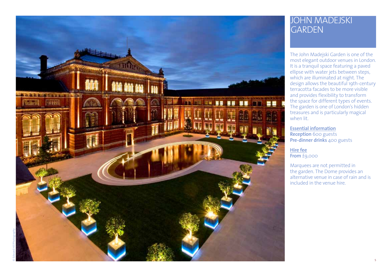

## JOHN MADEJSKI **GARDEN**

The John Madejski Garden is one of the<br>most elegant outdoor venues in London. It is a tranquil space featuring a paved ellipse with water jets between steps, which are illuminated at night. The design allows the beautiful 19th-century terracotta facades to be more visible and provides flexibility to transform<br>the space for different types of events. The garden is one of London's hidden treasures and is particularly magical when lit.

**Essential information Reception** 600 guests **Pre-dinner drinks** 400 guests

**Hire fee From** £9,000

Marquees are not permitted in the garden. The Dome provides an alternative venue in case of rain and is included in the venue hire.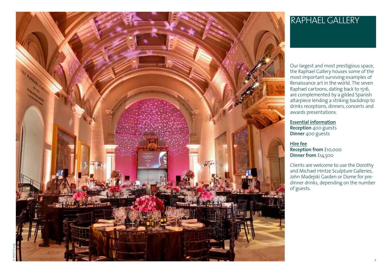

## Raphae l Gallery

Our largest and most prestigious space, the Raphael Gallery houses some of the Renaissance art in the world. The seven<br>Raphael cartoons, dating back to 1516, are complemented by a gilded Spanish altarpiece lending a striking backdrop to drinks receptions, dinners, concerts and awards presentations.

**Essential information Reception** 400 guests **Dinner** 400 guests

**Hire fee Reception from** £10,000 **Dinner from** £14,500

Clients are welcome to use the Dorothy and Michael Hintze Sculpture Galleries, John Madejski Garden or Dome for predinner drinks, depending on the number of guests.

© Matt Chung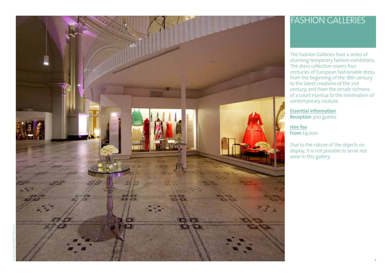

## Fashion Galleries

The Fashion Galleries host a series of stunning temporary fashion exhibitions. The dress collection covers four centuries of European fashionable dress, from the beginning of the 18th century to the latest creations of the 21st century, and from the ornate richness of a court mantua to the minimalism of contemporary couture.

**Essential information Reception** 300 guests

**Hire fee From** £9,000

Due to the nature of the objects on display, it is not possible to serve red wine in this gallery.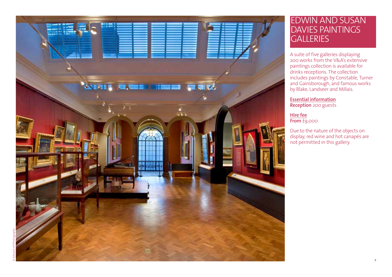

## Edwin and Susan DAVIES PAINTINGS **GALLERIES**

A suite of five galleries displaying 200 works from the V & A's extensive paintings collection is available for drinks receptions. The collection includes paintings by Constable, Turner and Gainsborough, and famous works by Blake, Landseer and Millais.

**Essential information Reception** 200 guests

**Hire fee From** £9,000

Due to the nature of the objects on display, red wine and hot canapés are not permitted in this gallery.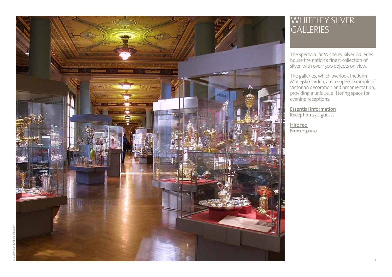

## WHITELEY SILVER **GALLERIES**

The spectacular Whiteley Silver Galleries house the nation's finest collection of

silver, with over 1500 objects on view. The galleries, which overlook the John Madejski Garden, are a superb example of Victorian decoration and ornamentation, providing a unique, glittering space for evening receptions.

**Essential Information Reception** 250 guests

**Hire fee From** £9,000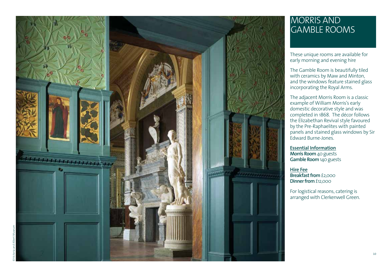

## Morris and Gamble roo m s

These unique rooms are available for early morning and evening hire

The Gamble Room is beautifully tiled with ceramics by Maw and Minton, and the windows feature stained glass incorporating the Royal Arms.

The adjacent Morris Room is a classic example of William Morris's early domestic decorative style and was completed in 1868. The décor follows the Elizabethan Revival style favoured by the Pre-Raphaelites with painted panels and stained glass windows by Sir Edward Burne-Jones.

**Essential Information Morris Room** 40 guests **Gamble Room** 140 guests

**Hire Fee Breakfast from** £2,000 **Dinner from** £12,000

For logistical reasons, catering is arranged with Clerkenwell Green.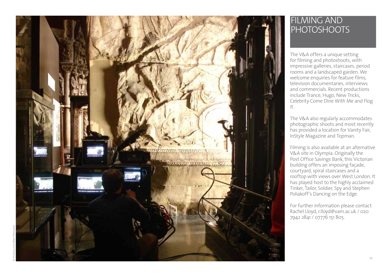

## Filmin g and **PHOTOSHOOTS**

The V&A offers a unique setting for filming and photoshoots, with impressive galleries, staircases, period rooms and a landscaped garden. We welcome enquiries for feature films, television documentaries, interviews and commercials. Recent productions include Trance, Hugo, New Tricks, Celebrity Come Dine With Me and Flog

it.<br>The V&A also regularly accommodates photographic shoots and most recently has provided a location for Vanity Fair, I n Style Magazine and Topman.

Filming is also available at an alternative V&A site in Olympia. Originally the Post Office Savings Bank, this Victorian building offers an imposing façade, courtyard, spiral staircases and a rooftop with views over West London. It has played host to the highly acclaimed Tinker, Tailor, Soldier, Spy and Stephen Poliakoff's Dancing on the Edge.

For further information please contact Rachel Lloyd, r.lloyd@vam.ac.uk / 020 7942 2841 / 07776 151 805.

© Victoria and Albert Museum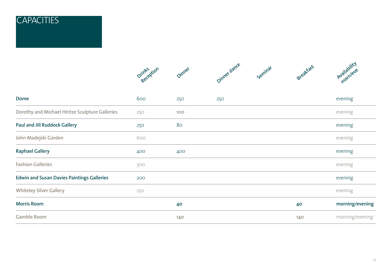## **CAPACITIES**

|                                                   | Drinks <sub>ption</sub> | Dinner | Oinner dance | Seminar | Breakfast | Availability    |
|---------------------------------------------------|-------------------------|--------|--------------|---------|-----------|-----------------|
| Dome                                              | 600                     | 250    | 250          |         |           | evening         |
| Dorothy and Michael HIntze Sculpture Galleries    | 250                     | 100    |              |         |           | evening         |
| <b>Paul and Jill Ruddock Gallery</b>              | 250                     | 80     |              |         |           | evening         |
| John Madejski Garden                              | 600                     |        |              |         |           | evening         |
| <b>Raphael Gallery</b>                            | 400                     | 400    |              |         |           | evening         |
| <b>Fashion Galleries</b>                          | 300                     |        |              |         |           | evening         |
| <b>Edwin and Susan Davies Paintings Galleries</b> | 200                     |        |              |         |           | evening         |
| <b>Whiteley Silver Gallery</b>                    | 250                     |        |              |         |           | evening         |
| <b>Morris Room</b>                                |                         | 40     |              |         | 40        | morning/evening |
| <b>Gamble Room</b>                                |                         | 140    |              |         | 140       | morning/evening |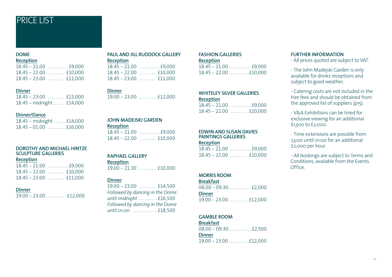## Price List

#### **DOME**

|  |  | Keception |  |
|--|--|-----------|--|
|  |  |           |  |

| $18.45 - 22.00 \ldots$ $10,000$ |
|---------------------------------|
| $18.45 - 23.00$ £11,000         |

#### **Dinner**

 $18.45 - 23.00$  ....... £12,000  $18.45$  - midnight ..... £14,000

#### **Dinner/Dance**

 $18.45 - \text{midnight} \dots \text{£}14,000$ 18.45 - 01.00 . . £16,000

#### **DOROTHY and MICHAEL HINTZE SCULPTURE GALLERIES**

#### **Reception**

| $18.45 - 21.00$ £9,000  |
|-------------------------|
| $18.45 - 22.00$ £10,000 |
| $18.45 - 23.00$ £11,000 |

#### **Dinner**

 $19.00 - 23.00 \ldots$   $12.000$ 

#### **PAUL AND JILL RUDDOCK GALLERY Reception**

| $r = r$ |                         |
|---------|-------------------------|
|         |                         |
|         | $18.45 - 22.00$ £10,000 |
|         | $18.45 - 23.00$ £11,000 |

#### **Dinner**

 $19.00 - 23.00$  .........£12.000

#### **john madejski garden**

**Reception** 18.45 - 21.00 . £9,000

 $18.45 - 22.00$  ....... £10,000

#### **RAPHAEL GALLERY**

**Reception**  $19.00 - 21.30$  ....... £10,000

#### **Dinner**

 $19.00 - 23.00$  ....... £14,500 *Followed by dancing in the Dome until midnight . . . . . . . .* £16,500 *Followed by dancing in the Dome until 01.00 . . . . . . . . . . . .* £18,500

#### **fashion galleries**

**Reception**

 $18.45 - 21.00 \ldots$   $19.000$  $18.45 - 22.00 \ldots 110.000$ 

#### **WHITELEY SILVER GALLERIES Reception**

18.45 - 21.00 . £9,000  $18.45 - 22.00$  ....... £10,000

#### **EDWIN AND SUSAN DAVIES PAINTINGS GALLERIES**

#### **Reception**

| $18.45 - 22.00$ £10,000 |
|-------------------------|

#### **morris ROOM**

**Breakfast**  $08.00 - 09.30...$   $\ldots$  £2,000 **Dinner** 19.00 - 23.00 . £12,000

#### **gamble room**

**Breakfast** 08.00 - 09.30 . . £2,500

#### **Dinner**

 $19.00 - 23.00 \ldots 112,000$ 

#### **Further Information**

- All prices quoted are subject to VAT.

- The John Madejski Garden is only available for drinks receptions and subject to good weather.
- Catering costs are not included in the hire fees and should be obtained from the approved list of suppliers (p15).
- V&A Exhibitions can be hired for exclusive viewing for an additional £1,500 to £2,000.
- Time extensions are possible from 23:00 until 01:00 for an additional £2,000 per hour.

- All bookings are subject to Terms and Conditions, available from the Events Office.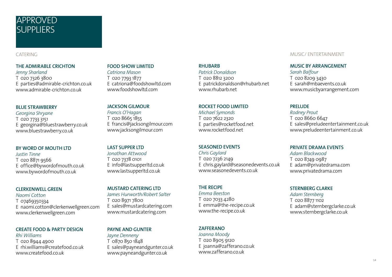## **APPROVED SUPPLIERS**

#### CATERING

#### **THE ADMIRABLE CRICHTON**

*Jenny Sharland* T 020 7326 3800 E parties@admirable-crichton.co.uk www.admirable-crichton.co.uk

#### **BLUE STRAWBERRY**

*Georgina Shryane* T 020 7733 3151 E georgina@bluestrawberry.co.uk www.bluestrawberry.co.uk

#### **BY WORD OF MOUTH LTD**

*Justin Tinne* T 020 8871 9566 E office@bywordofmouth.co.uk www.bywordofmouth.co.uk

#### **CLERKENWELL GREEN**

*Naomi Cotton* T 07469350334 E naomi.cotton@clerkenwellgreen.com www.clerkenwellgreen.com

#### **CREATE FOOD & PARTY DESIGN**

*Rhi Williams* T 020 8944 4900 E rhi.williams@createfood.co.uk www.createfood.co.uk

#### **food show limited**

*Catriona Mason* T 020 7793 1877 E catriona@foodshowltd.com www.foodshowltd.com

#### **JACKSON GILMOUR**

*Francis O'Hagan* T 020 8665 1855 E francis@jacksongilmour.com www.jacksongilmour.com

#### **Last supper ltd**

*Jonathan Attwood* T 020 7378 0101 E info@lastsupperltd.co.uk www.lastsupperltd.co.uk

#### **MUSTARD CATERING LTD**

*James Hurworth/Robert Salter* T 020 8971 7800 E sales@mustardcatering.com www.mustardcatering.com

#### **PAYNE AND GUNTER**

*Jayne Denneny* T 0870 850 1848 E sales@payneandgunter.co.uk www.payneandgunter.co.uk

#### **RHUBARB**

*Patrick Donaldson* T 020 8812 3200 E patrickdonaldson@rhubarb.net

#### **ROCKET FOOD LIMITED**

www.rhubarb.net

*Michael Symonds* T 020 7622 2320 E parties@rocketfood.net www.rocketfood.net

#### **seasoned events**

#### *Chris Gaylard*

T 020 7236 2149 E chris.gaylard@seasonedevents.co.uk www.seasonedevents.co.uk

#### **THE RECIPE**

*Emma Beeston* T 020 7033 4280 E emma@the-recipe.co.uk www.the-recipe.co.uk

#### **ZAFFERANO**

*Joanna Moody* T 020 8905 9120 E joanna@zafferano.co.uk www.zafferano.co.uk

#### MUSIC/ ENTERTAINMENT

#### **MUSIC BY ARRANGEMENT**

*Sarah Balfour* T 020 8209 3430 E sarah@mbaevents.co.uk www.musicbyarrangement.com

#### **PRELUDE**

*Rodney Prout* T 020 8660 6647 E sales@preludeentertainment.co.uk www.preludeentertainment.co.uk

#### **PRIVATE DRAMA EVENTS**

*Adam Blackwood* T 020 8749 0987 E adam@privatedrama.com www.privatedrama.com

#### **STERNBERG CLARKE**

*Adam Sternberg* T 020 8877 1102 E adam@sternbergclarke.co.uk www.sternbergclarke.co.uk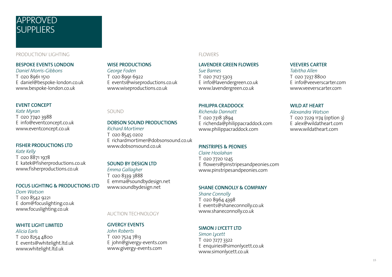## **APPROVED SUPPLIERS**

#### production/ lighting

#### **BESPOKE EVENTS LONDON**

*Daniel Morris-Gibbons* T 020 8961 1510 E daniel@bespoke-london.co.uk www.bespoke-london.co.uk

#### **EVENT CONCEPT**

*Kate Myran* T 020 7740 3988 E info@eventconcept.co.uk www.eventconcept.co.uk

#### **FISHER PRODUCTIONS LTD**

*Kate Kelly* T 020 8871 1978 E katek@fisherproductions.co.uk www.fisherproductions.co.uk

#### **FOCUS LIGHTING & PRODUCTIONS LTD**

*Dom Watson* T 020 8542 9221 E dom@focuslighting.co.uk www.focuslighting.co.uk

#### **WHITE LIGHT LIMITED**

*Alicia Earls* T 020 8254 4800 E events@whitelight.ltd.uk www.whitelight.ltd.uk

#### **WISE PRODUCTIONS**

SOUND

*Richard Mortimer* T 020 8545 0202

www.dobsonsound.co.uk

**SOUND BY DESIGN LTD**

auction technology

E john@givergy-events.com www.givergy-events.com

**GIVERGY events** *John Roberts* T 020 7524 7813

E emma@soundbydesign.net www.soundbydesign.net

*Emma Gallagher* T 020 8339 3888

*George Foden* T 020 8991 6922 E events@wiseproductions.co.uk www.wiseproductions.co.uk

**DOBSON SOUND PRODUCTIONS**

E richardmortimer@dobsonsound.co.uk

## FLOWERS

#### **LAVENDER GREEN FLOWERS**

*Sue Barnes* T 020 7127 5303 E info@lavendergreen.co.uk www.lavendergreen.co.uk

#### **PHILIPPA CRADDOCK**

*Richenda Dannatt* T 020 7318 3894 E richenda@philippacraddock.com www.philippacraddock.com

#### **PINSTRIPES & PEONIES**

#### *Claire Hoolahan*

T 020 7720 1245 E flowers@pinstripesandpeonies.com www.pinstripesandpeonies.com

#### **SHANE CONNOLLY & COMPANY**

*Shane Connolly* T 020 8964 4398 E events@shaneconnolly.co.uk www.shaneconnolly.co.uk

#### **SIMON J LYCETT LTD**

*Simon Lycett* T 020 7277 3322 E enquiries@simonlycett.co.uk www.simonlycett.co.uk

#### **VEEVERS CARTER**

*Tabitha Allen*  T 020 7237 8800 E info@veeverscarter.com www.veeverscarter.com

#### **WILD AT HEART**

*Alexandra Watson* T 020 7229 1174 (option 3) E alex@wildatheart.com www.wildatheart.com